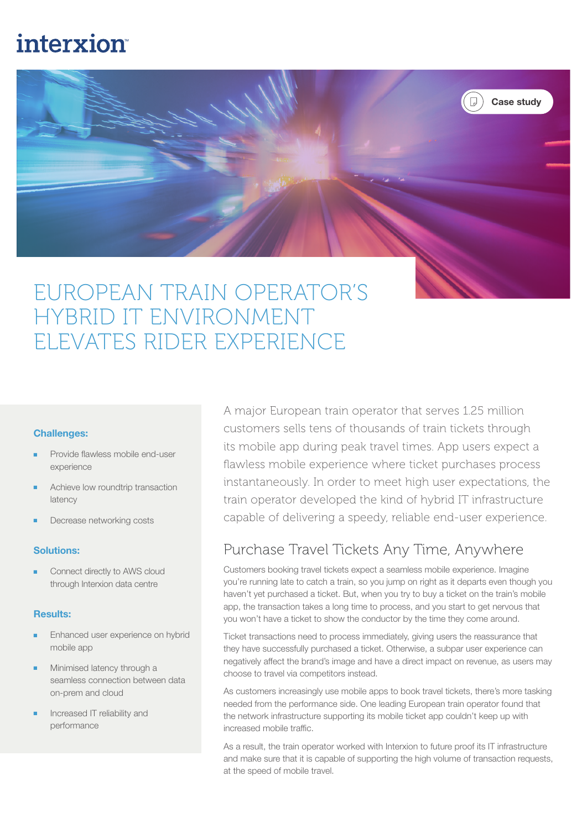# **interxion**



# EUROPEAN TRAIN OPERATOR'S HYBRID IT ENVIRONMENT ELEVATES RIDER EXPERIENCE

#### Challenges:

- Provide flawless mobile end-user experience
- Achieve low roundtrip transaction latency
- Decrease networking costs

#### Solutions:

Connect directly to AWS cloud through Interxion data centre

#### Results:

- Enhanced user experience on hybrid mobile app
- Minimised latency through a seamless connection between data on-prem and cloud
- Increased IT reliability and performance

A major European train operator that serves 1.25 million customers sells tens of thousands of train tickets through its mobile app during peak travel times. App users expect a flawless mobile experience where ticket purchases process instantaneously. In order to meet high user expectations, the train operator developed the kind of hybrid IT infrastructure capable of delivering a speedy, reliable end-user experience.

### Purchase Travel Tickets Any Time, Anywhere

Customers booking travel tickets expect a seamless mobile experience. Imagine you're running late to catch a train, so you jump on right as it departs even though you haven't yet purchased a ticket. But, when you try to buy a ticket on the train's mobile app, the transaction takes a long time to process, and you start to get nervous that you won't have a ticket to show the conductor by the time they come around.

Ticket transactions need to process immediately, giving users the reassurance that they have successfully purchased a ticket. Otherwise, a subpar user experience can negatively affect the brand's image and have a direct impact on revenue, as users may choose to travel via competitors instead.

As customers increasingly use mobile apps to book travel tickets, there's more tasking needed from the performance side. One leading European train operator found that the network infrastructure supporting its mobile ticket app couldn't keep up with increased mobile traffic.

As a result, the train operator worked with Interxion to future proof its IT infrastructure and make sure that it is capable of supporting the high volume of transaction requests, at the speed of mobile travel.